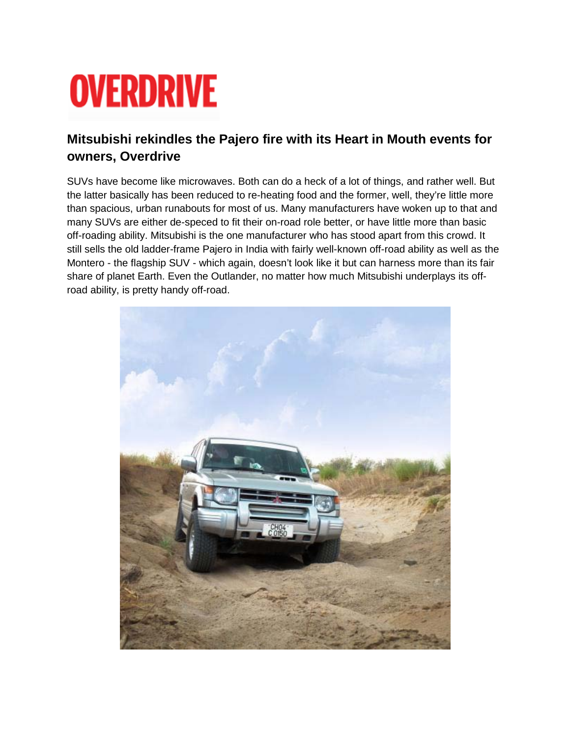## **OVERDRIVE**

## **Mitsubishi rekindles the Pajero fire with its Heart in Mouth events for owners, Overdrive**

SUVs have become like microwaves. Both can do a heck of a lot of things, and rather well. But the latter basically has been reduced to re-heating food and the former, well, they're little more than spacious, urban runabouts for most of us. Many manufacturers have woken up to that and many SUVs are either de-speced to fit their on-road role better, or have little more than basic off-roading ability. Mitsubishi is the one manufacturer who has stood apart from this crowd. It still sells the old ladder-frame Pajero in India with fairly well-known off-road ability as well as the Montero - the flagship SUV - which again, doesn't look like it but can harness more than its fair share of planet Earth. Even the Outlander, no matter how much Mitsubishi underplays its offroad ability, is pretty handy off-road.

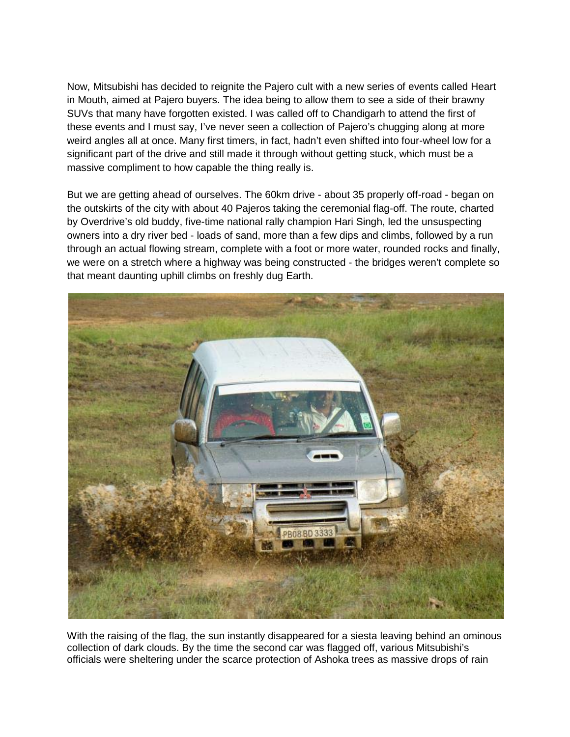Now, Mitsubishi has decided to reignite the Pajero cult with a new series of events called Heart in Mouth, aimed at Pajero buyers. The idea being to allow them to see a side of their brawny SUVs that many have forgotten existed. I was called off to Chandigarh to attend the first of these events and I must say, I've never seen a collection of Pajero's chugging along at more weird angles all at once. Many first timers, in fact, hadn't even shifted into four-wheel low for a significant part of the drive and still made it through without getting stuck, which must be a massive compliment to how capable the thing really is.

But we are getting ahead of ourselves. The 60km drive - about 35 properly off-road - began on the outskirts of the city with about 40 Pajeros taking the ceremonial flag-off. The route, charted by Overdrive's old buddy, five-time national rally champion Hari Singh, led the unsuspecting owners into a dry river bed - loads of sand, more than a few dips and climbs, followed by a run through an actual flowing stream, complete with a foot or more water, rounded rocks and finally, we were on a stretch where a highway was being constructed - the bridges weren't complete so that meant daunting uphill climbs on freshly dug Earth.



With the raising of the flag, the sun instantly disappeared for a siesta leaving behind an ominous collection of dark clouds. By the time the second car was flagged off, various Mitsubishi's officials were sheltering under the scarce protection of Ashoka trees as massive drops of rain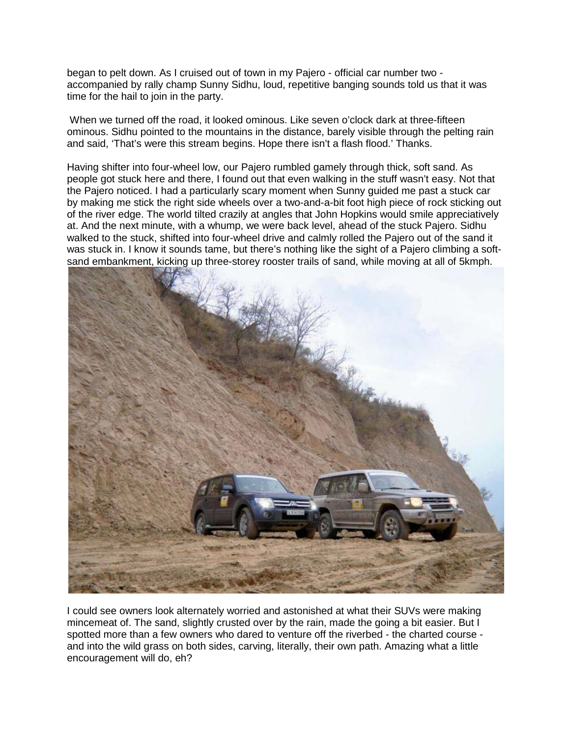began to pelt down. As I cruised out of town in my Pajero - official car number two accompanied by rally champ Sunny Sidhu, loud, repetitive banging sounds told us that it was time for the hail to join in the party.

When we turned off the road, it looked ominous. Like seven o'clock dark at three-fifteen ominous. Sidhu pointed to the mountains in the distance, barely visible through the pelting rain and said, 'That's were this stream begins. Hope there isn't a flash flood.' Thanks.

Having shifter into four-wheel low, our Pajero rumbled gamely through thick, soft sand. As people got stuck here and there, I found out that even walking in the stuff wasn't easy. Not that the Pajero noticed. I had a particularly scary moment when Sunny guided me past a stuck car by making me stick the right side wheels over a two-and-a-bit foot high piece of rock sticking out of the river edge. The world tilted crazily at angles that John Hopkins would smile appreciatively at. And the next minute, with a whump, we were back level, ahead of the stuck Pajero. Sidhu walked to the stuck, shifted into four-wheel drive and calmly rolled the Pajero out of the sand it was stuck in. I know it sounds tame, but there's nothing like the sight of a Pajero climbing a softsand embankment, kicking up three-storey rooster trails of sand, while moving at all of 5kmph.



I could see owners look alternately worried and astonished at what their SUVs were making mincemeat of. The sand, slightly crusted over by the rain, made the going a bit easier. But I spotted more than a few owners who dared to venture off the riverbed - the charted course and into the wild grass on both sides, carving, literally, their own path. Amazing what a little encouragement will do, eh?